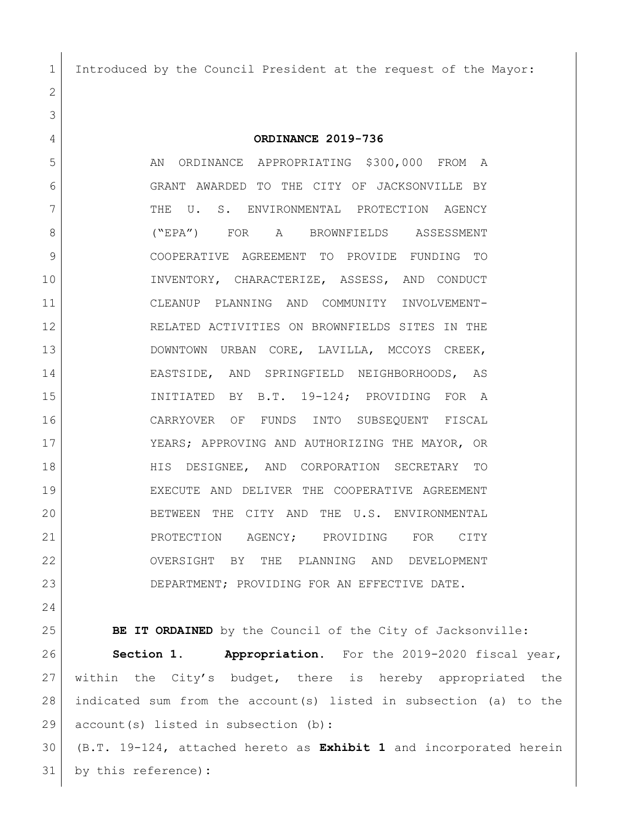Introduced by the Council President at the request of the Mayor:

 **ORDINANCE 2019-736** 5 AN ORDINANCE APPROPRIATING \$300,000 FROM A GRANT AWARDED TO THE CITY OF JACKSONVILLE BY THE U. S. ENVIRONMENTAL PROTECTION AGENCY ("EPA") FOR A BROWNFIELDS ASSESSMENT COOPERATIVE AGREEMENT TO PROVIDE FUNDING TO INVENTORY, CHARACTERIZE, ASSESS, AND CONDUCT CLEANUP PLANNING AND COMMUNITY INVOLVEMENT- RELATED ACTIVITIES ON BROWNFIELDS SITES IN THE DOWNTOWN URBAN CORE, LAVILLA, MCCOYS CREEK, EASTSIDE, AND SPRINGFIELD NEIGHBORHOODS, AS INITIATED BY B.T. 19-124; PROVIDING FOR A CARRYOVER OF FUNDS INTO SUBSEQUENT FISCAL YEARS; APPROVING AND AUTHORIZING THE MAYOR, OR HIS DESIGNEE, AND CORPORATION SECRETARY TO EXECUTE AND DELIVER THE COOPERATIVE AGREEMENT BETWEEN THE CITY AND THE U.S. ENVIRONMENTAL 21 PROTECTION AGENCY; PROVIDING FOR CITY OVERSIGHT BY THE PLANNING AND DEVELOPMENT DEPARTMENT; PROVIDING FOR AN EFFECTIVE DATE.

**BE IT ORDAINED** by the Council of the City of Jacksonville: **Section 1. Appropriation.** For the 2019-2020 fiscal year, within the City's budget, there is hereby appropriated the indicated sum from the account(s) listed in subsection (a) to the 29 account(s) listed in subsection (b):

 (B.T. 19-124, attached hereto as **Exhibit 1** and incorporated herein by this reference)**:**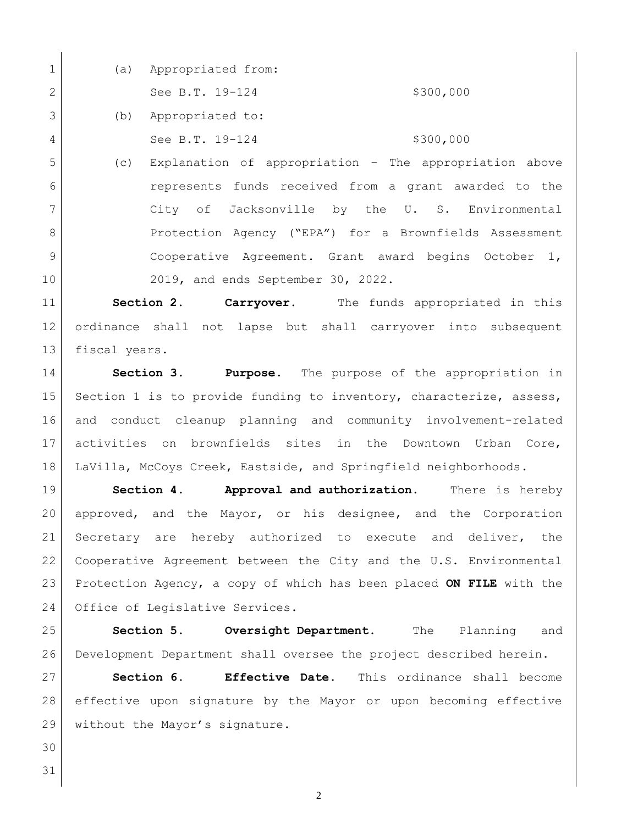| $\mathbf 1$    | (a) | Appropriated from:                                     |
|----------------|-----|--------------------------------------------------------|
| 2              |     | \$300,000<br>See B.T. 19-124                           |
| $\mathcal{S}$  | (b) | Appropriated to:                                       |
| $\overline{4}$ |     | \$300,000<br>See B.T. 19-124                           |
| 5              | (C) | Explanation of appropriation - The appropriation above |
| 6              |     | represents funds received from a grant awarded to the  |
| 7              |     | of Jacksonville by the U. S. Environmental<br>City     |

8 Protection Agency ("EPA") for a Brownfields Assessment 9 Cooperative Agreement. Grant award begins October 1, 2019, and ends September 30, 2022.

 **Section 2. Carryover.** The funds appropriated in this ordinance shall not lapse but shall carryover into subsequent 13 fiscal years.

 **Section 3. Purpose**. The purpose of the appropriation in 15 Section 1 is to provide funding to inventory, characterize, assess, and conduct cleanup planning and community involvement-related activities on brownfields sites in the Downtown Urban Core, LaVilla, McCoys Creek, Eastside, and Springfield neighborhoods.

 **Section 4. Approval and authorization.** There is hereby approved, and the Mayor, or his designee, and the Corporation Secretary are hereby authorized to execute and deliver, the Cooperative Agreement between the City and the U.S. Environmental Protection Agency, a copy of which has been placed **ON FILE** with the 24 Office of Legislative Services.

 **Section 5. Oversight Department.** The Planning and Development Department shall oversee the project described herein.

 **Section 6. Effective Date.** This ordinance shall become effective upon signature by the Mayor or upon becoming effective 29 without the Mayor's signature.

 

 $\mathbf{I}$